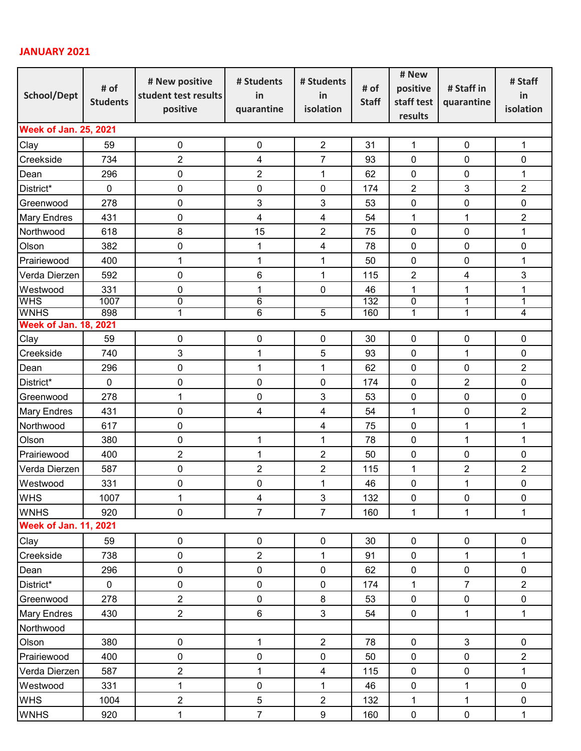## **JANUARY 2021**

| <b>School/Dept</b>           | # of<br><b>Students</b> | # New positive<br>student test results<br>positive | # Students<br>in<br>quarantine | # Students<br>in<br>isolation | # of<br><b>Staff</b> | # New          | # Staff in<br>quarantine | # Staff        |  |  |  |
|------------------------------|-------------------------|----------------------------------------------------|--------------------------------|-------------------------------|----------------------|----------------|--------------------------|----------------|--|--|--|
|                              |                         |                                                    |                                |                               |                      | positive       |                          | in             |  |  |  |
|                              |                         |                                                    |                                |                               |                      | staff test     |                          | isolation      |  |  |  |
|                              |                         |                                                    |                                |                               |                      | results        |                          |                |  |  |  |
| <b>Week of Jan. 25, 2021</b> |                         |                                                    |                                |                               |                      |                |                          |                |  |  |  |
| Clay                         | 59                      | 0                                                  | $\mathbf 0$                    | $\overline{2}$                | 31                   | $\mathbf{1}$   | $\mathbf 0$              | 1              |  |  |  |
| Creekside                    | 734                     | 2                                                  | $\overline{\mathbf{4}}$        | $\overline{7}$                | 93                   | $\pmb{0}$      | 0                        | 0              |  |  |  |
| Dean                         | 296                     | 0                                                  | $\overline{2}$                 | $\mathbf 1$                   | 62                   | 0              | 0                        | $\mathbf 1$    |  |  |  |
| District*                    | $\mathbf 0$             | 0                                                  | $\mathbf 0$                    | $\mathbf 0$                   | 174                  | $\overline{2}$ | 3                        | $\overline{2}$ |  |  |  |
| Greenwood                    | 278                     | 0                                                  | 3                              | 3                             | 53                   | $\mathbf 0$    | 0                        | 0              |  |  |  |
| <b>Mary Endres</b>           | 431                     | 0                                                  | 4                              | $\overline{\mathbf{4}}$       | 54                   | 1              | 1                        | $\overline{2}$ |  |  |  |
| Northwood                    | 618                     | 8                                                  | 15                             | $\overline{2}$                | 75                   | 0              | 0                        | 1              |  |  |  |
| Olson                        | 382                     | 0                                                  | 1                              | 4                             | 78                   | 0              | 0                        | 0              |  |  |  |
| Prairiewood                  | 400                     | 1                                                  | 1                              | 1                             | 50                   | $\mathbf 0$    | 0                        | 1              |  |  |  |
| Verda Dierzen                | 592                     | 0                                                  | 6                              | $\mathbf 1$                   | 115                  | $\overline{2}$ | 4                        | 3              |  |  |  |
| Westwood                     | 331                     | 0                                                  | $\overline{1}$                 | 0                             | 46                   | $\mathbf{1}$   | 1                        | 1              |  |  |  |
| <b>WHS</b>                   | 1007                    | 0                                                  | 6                              |                               | $\overline{132}$     | 0              | 1                        | 1              |  |  |  |
| <b>WNHS</b>                  | 898                     | 1                                                  | 6                              | $\overline{5}$                | 160                  | 1              | 1                        | 4              |  |  |  |
| <b>Week of Jan. 18, 2021</b> |                         |                                                    |                                |                               |                      |                |                          |                |  |  |  |
| Clay                         | 59                      | 0                                                  | $\boldsymbol{0}$               | $\pmb{0}$                     | 30                   | $\mathbf 0$    | 0                        | 0              |  |  |  |
| Creekside                    | 740                     | 3                                                  | $\mathbf{1}$                   | 5                             | 93                   | 0              | $\mathbf{1}$             | 0              |  |  |  |
| Dean                         | 296                     | 0                                                  | 1                              | $\mathbf 1$                   | 62                   | 0              | 0                        | $\overline{2}$ |  |  |  |
| District*                    | $\mathbf 0$             | 0                                                  | $\boldsymbol{0}$               | 0                             | 174                  | 0              | 2                        | 0              |  |  |  |
| Greenwood                    | 278                     | 1                                                  | 0                              | 3                             | 53                   | $\mathbf 0$    | 0                        | 0              |  |  |  |
| <b>Mary Endres</b>           | 431                     | 0                                                  | $\overline{4}$                 | $\overline{\mathbf{4}}$       | 54                   | $\mathbf 1$    | $\pmb{0}$                | $\overline{2}$ |  |  |  |
| Northwood                    | 617                     | 0                                                  |                                | 4                             | 75                   | $\mathbf 0$    | $\mathbf{1}$             | 1              |  |  |  |
| Olson                        | 380                     | 0                                                  | 1                              | $\mathbf 1$                   | 78                   | $\mathbf 0$    | 1                        | 1              |  |  |  |
| Prairiewood                  | 400                     | $\overline{c}$                                     | $\mathbf{1}$                   | $\overline{2}$                | 50                   | $\mathbf 0$    | 0                        | 0              |  |  |  |
| Verda Dierzen                | 587                     | 0                                                  | $\overline{2}$                 | $\overline{2}$                | 115                  | 1              | 2                        | $\overline{2}$ |  |  |  |
| Westwood                     | 331                     | 0                                                  | 0                              | 1                             | 46                   | $\pmb{0}$      | 1                        | $\pmb{0}$      |  |  |  |
| <b>WHS</b>                   | 1007                    | 1                                                  | $\overline{\mathbf{4}}$        | $\sqrt{3}$                    | 132                  | $\pmb{0}$      | $\pmb{0}$                | $\pmb{0}$      |  |  |  |
| <b>WNHS</b>                  | 920                     | $\pmb{0}$                                          | $\overline{7}$                 | $\overline{7}$                | 160                  | $\mathbf{1}$   | $\mathbf{1}$             | $\mathbf{1}$   |  |  |  |
| <b>Week of Jan. 11, 2021</b> |                         |                                                    |                                |                               |                      |                |                          |                |  |  |  |
| Clay                         | 59                      | $\pmb{0}$                                          | $\pmb{0}$                      | $\pmb{0}$                     | 30                   | $\pmb{0}$      | $\pmb{0}$                | $\pmb{0}$      |  |  |  |
| Creekside                    | 738                     | 0                                                  | $\overline{2}$                 | $\mathbf{1}$                  | 91                   | $\pmb{0}$      | $\mathbf{1}$             | $\mathbf{1}$   |  |  |  |
| Dean                         | 296                     | 0                                                  | $\pmb{0}$                      | $\pmb{0}$                     | 62                   | $\pmb{0}$      | $\pmb{0}$                | $\pmb{0}$      |  |  |  |
| District*                    | $\mathsf{O}\xspace$     | 0                                                  | $\pmb{0}$                      | $\pmb{0}$                     | 174                  | $\mathbf{1}$   | $\overline{7}$           | $\overline{2}$ |  |  |  |
| Greenwood                    | 278                     | $\overline{2}$                                     | $\pmb{0}$                      | $\bf 8$                       | 53                   | $\pmb{0}$      | $\pmb{0}$                | $\pmb{0}$      |  |  |  |
| <b>Mary Endres</b>           | 430                     | $\overline{2}$                                     | $6\phantom{a}$                 | $\overline{3}$                | 54                   | $\pmb{0}$      | $\mathbf{1}$             | $\mathbf{1}$   |  |  |  |
| Northwood                    |                         |                                                    |                                |                               |                      |                |                          |                |  |  |  |
| Olson                        | 380                     | $\pmb{0}$                                          | $\mathbf{1}$                   | $\overline{2}$                | 78                   | $\pmb{0}$      | $\mathfrak{S}$           | $\pmb{0}$      |  |  |  |
| Prairiewood                  | 400                     | 0                                                  | $\pmb{0}$                      | $\pmb{0}$                     | 50                   | $\pmb{0}$      | $\pmb{0}$                | $\overline{2}$ |  |  |  |
| Verda Dierzen                | 587                     | 2                                                  | 1                              | $\overline{\mathbf{4}}$       | 115                  | $\pmb{0}$      | $\pmb{0}$                | $\mathbf{1}$   |  |  |  |
| Westwood                     | 331                     | $\mathbf 1$                                        | $\pmb{0}$                      | $\mathbf 1$                   | 46                   | $\pmb{0}$      | $\mathbf 1$              | $\pmb{0}$      |  |  |  |
| <b>WHS</b>                   | 1004                    | $\overline{2}$                                     | $\sqrt{5}$                     | $\overline{2}$                | 132                  | $\mathbf{1}$   | $\mathbf{1}$             | $\pmb{0}$      |  |  |  |
| <b>WNHS</b>                  | 920                     | $\mathbf 1$                                        | $\overline{7}$                 | $9\,$                         | 160                  | $\pmb{0}$      | $\pmb{0}$                | $\mathbf{1}$   |  |  |  |